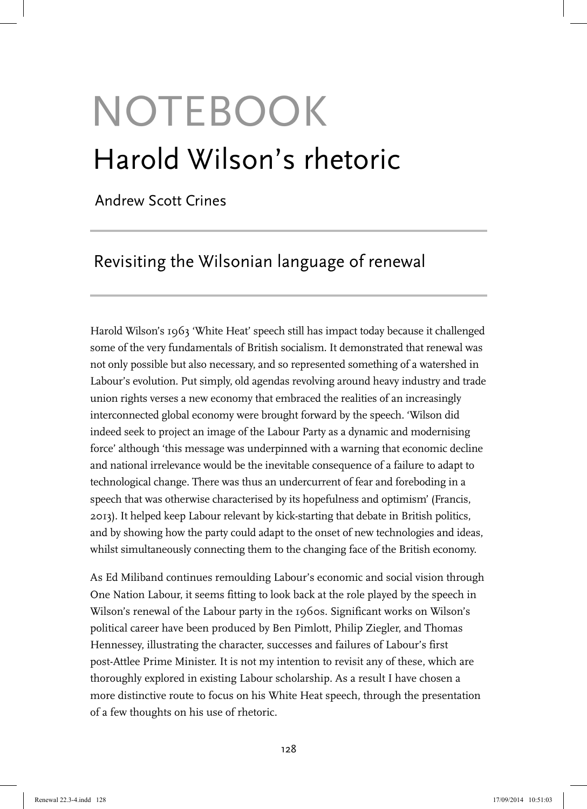# NOTEBOOK Harold Wilson's rhetoric

Andrew Scott Crines

# Revisiting the Wilsonian language of renewal

Harold Wilson's 1963 'White Heat' speech still has impact today because it challenged some of the very fundamentals of British socialism. It demonstrated that renewal was not only possible but also necessary, and so represented something of a watershed in Labour's evolution. Put simply, old agendas revolving around heavy industry and trade union rights verses a new economy that embraced the realities of an increasingly interconnected global economy were brought forward by the speech. 'Wilson did indeed seek to project an image of the Labour Party as a dynamic and modernising force' although 'this message was underpinned with a warning that economic decline and national irrelevance would be the inevitable consequence of a failure to adapt to technological change. There was thus an undercurrent of fear and foreboding in a speech that was otherwise characterised by its hopefulness and optimism' (Francis, 2013). It helped keep Labour relevant by kick-starting that debate in British politics, and by showing how the party could adapt to the onset of new technologies and ideas, whilst simultaneously connecting them to the changing face of the British economy.

As Ed Miliband continues remoulding Labour's economic and social vision through One Nation Labour, it seems fitting to look back at the role played by the speech in Wilson's renewal of the Labour party in the 1960s. Significant works on Wilson's political career have been produced by Ben Pimlott, Philip Ziegler, and Thomas Hennessey, illustrating the character, successes and failures of Labour's first post-Attlee Prime Minister. It is not my intention to revisit any of these, which are thoroughly explored in existing Labour scholarship. As a result I have chosen a more distinctive route to focus on his White Heat speech, through the presentation of a few thoughts on his use of rhetoric.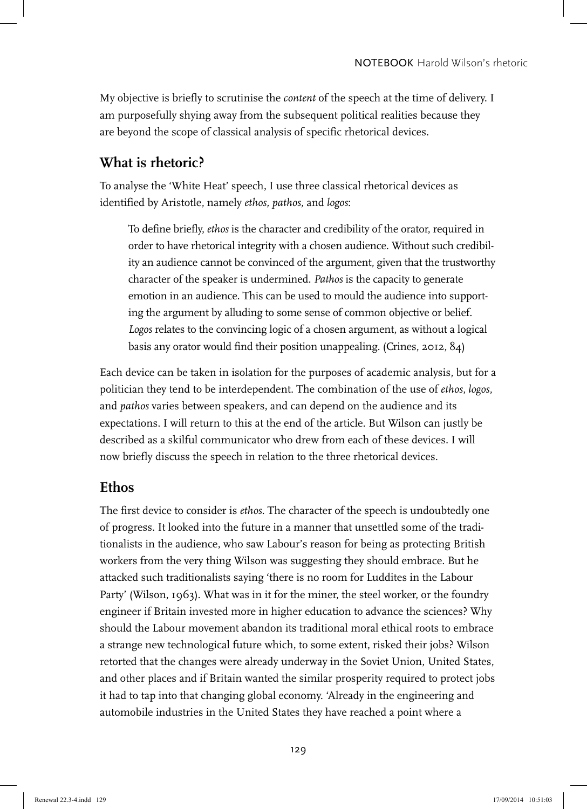My objective is briefly to scrutinise the *content* of the speech at the time of delivery. I am purposefully shying away from the subsequent political realities because they are beyond the scope of classical analysis of specific rhetorical devices.

## **What is rhetoric?**

To analyse the 'White Heat' speech, I use three classical rhetorical devices as identified by Aristotle, namely *ethos, pathos,* and *logos*:

To define briefly, *ethos* is the character and credibility of the orator, required in order to have rhetorical integrity with a chosen audience. Without such credibility an audience cannot be convinced of the argument, given that the trustworthy character of the speaker is undermined. *Pathos* is the capacity to generate emotion in an audience. This can be used to mould the audience into supporting the argument by alluding to some sense of common objective or belief. *Logos* relates to the convincing logic of a chosen argument, as without a logical basis any orator would find their position unappealing. (Crines, 2012, 84)

Each device can be taken in isolation for the purposes of academic analysis, but for a politician they tend to be interdependent. The combination of the use of *ethos*, *logos*, and *pathos* varies between speakers, and can depend on the audience and its expectations. I will return to this at the end of the article. But Wilson can justly be described as a skilful communicator who drew from each of these devices. I will now briefly discuss the speech in relation to the three rhetorical devices.

### **Ethos**

The first device to consider is *ethos*. The character of the speech is undoubtedly one of progress. It looked into the future in a manner that unsettled some of the traditionalists in the audience, who saw Labour's reason for being as protecting British workers from the very thing Wilson was suggesting they should embrace. But he attacked such traditionalists saying 'there is no room for Luddites in the Labour Party' (Wilson, 1963). What was in it for the miner, the steel worker, or the foundry engineer if Britain invested more in higher education to advance the sciences? Why should the Labour movement abandon its traditional moral ethical roots to embrace a strange new technological future which, to some extent, risked their jobs? Wilson retorted that the changes were already underway in the Soviet Union, United States, and other places and if Britain wanted the similar prosperity required to protect jobs it had to tap into that changing global economy. 'Already in the engineering and automobile industries in the United States they have reached a point where a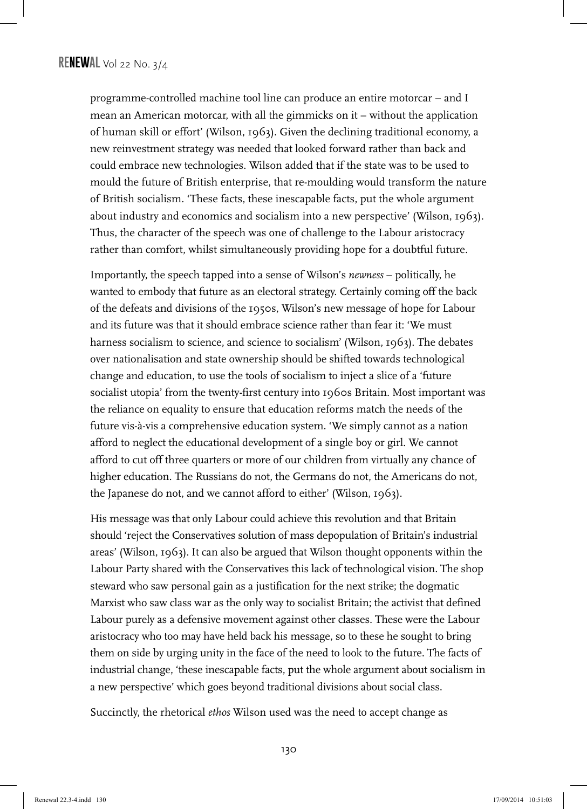programme-controlled machine tool line can produce an entire motorcar – and I mean an American motorcar, with all the gimmicks on it – without the application of human skill or effort' (Wilson, 1963). Given the declining traditional economy, a new reinvestment strategy was needed that looked forward rather than back and could embrace new technologies. Wilson added that if the state was to be used to mould the future of British enterprise, that re-moulding would transform the nature of British socialism. 'These facts, these inescapable facts, put the whole argument about industry and economics and socialism into a new perspective' (Wilson, 1963). Thus, the character of the speech was one of challenge to the Labour aristocracy rather than comfort, whilst simultaneously providing hope for a doubtful future.

Importantly, the speech tapped into a sense of Wilson's *newness* – politically, he wanted to embody that future as an electoral strategy. Certainly coming off the back of the defeats and divisions of the 1950s, Wilson's new message of hope for Labour and its future was that it should embrace science rather than fear it: 'We must harness socialism to science, and science to socialism' (Wilson, 1963). The debates over nationalisation and state ownership should be shifted towards technological change and education, to use the tools of socialism to inject a slice of a 'future socialist utopia' from the twenty-first century into 1960s Britain. Most important was the reliance on equality to ensure that education reforms match the needs of the future vis-à-vis a comprehensive education system. 'We simply cannot as a nation afford to neglect the educational development of a single boy or girl. We cannot afford to cut off three quarters or more of our children from virtually any chance of higher education. The Russians do not, the Germans do not, the Americans do not, the Japanese do not, and we cannot afford to either' (Wilson, 1963).

His message was that only Labour could achieve this revolution and that Britain should 'reject the Conservatives solution of mass depopulation of Britain's industrial areas' (Wilson, 1963). It can also be argued that Wilson thought opponents within the Labour Party shared with the Conservatives this lack of technological vision. The shop steward who saw personal gain as a justification for the next strike; the dogmatic Marxist who saw class war as the only way to socialist Britain; the activist that defined Labour purely as a defensive movement against other classes. These were the Labour aristocracy who too may have held back his message, so to these he sought to bring them on side by urging unity in the face of the need to look to the future. The facts of industrial change, 'these inescapable facts, put the whole argument about socialism in a new perspective' which goes beyond traditional divisions about social class.

Succinctly, the rhetorical *ethos* Wilson used was the need to accept change as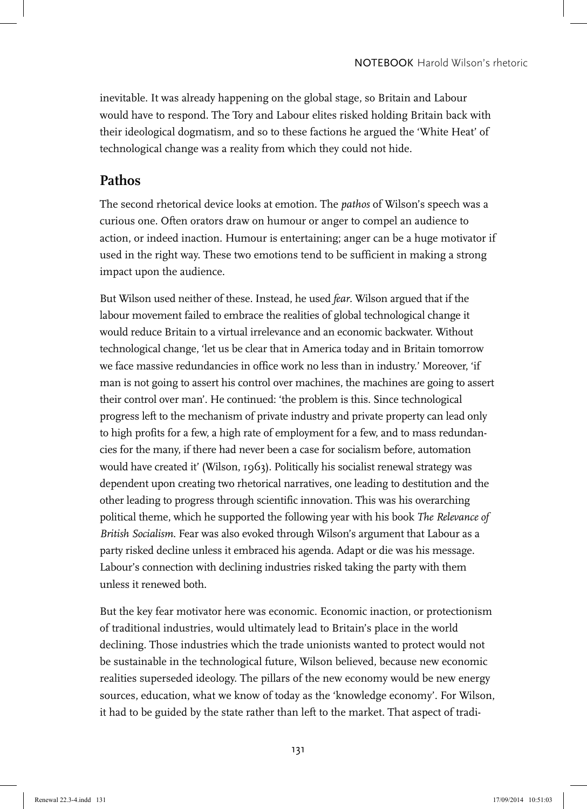inevitable. It was already happening on the global stage, so Britain and Labour would have to respond. The Tory and Labour elites risked holding Britain back with their ideological dogmatism, and so to these factions he argued the 'White Heat' of technological change was a reality from which they could not hide.

#### **Pathos**

The second rhetorical device looks at emotion. The *pathos* of Wilson's speech was a curious one. Often orators draw on humour or anger to compel an audience to action, or indeed inaction. Humour is entertaining; anger can be a huge motivator if used in the right way. These two emotions tend to be sufficient in making a strong impact upon the audience.

But Wilson used neither of these. Instead, he used *fear*. Wilson argued that if the labour movement failed to embrace the realities of global technological change it would reduce Britain to a virtual irrelevance and an economic backwater. Without technological change, 'let us be clear that in America today and in Britain tomorrow we face massive redundancies in office work no less than in industry.' Moreover, 'if man is not going to assert his control over machines, the machines are going to assert their control over man'. He continued: 'the problem is this. Since technological progress left to the mechanism of private industry and private property can lead only to high profits for a few, a high rate of employment for a few, and to mass redundancies for the many, if there had never been a case for socialism before, automation would have created it' (Wilson, 1963). Politically his socialist renewal strategy was dependent upon creating two rhetorical narratives, one leading to destitution and the other leading to progress through scientific innovation. This was his overarching political theme, which he supported the following year with his book *The Relevance of British Socialism*. Fear was also evoked through Wilson's argument that Labour as a party risked decline unless it embraced his agenda. Adapt or die was his message. Labour's connection with declining industries risked taking the party with them unless it renewed both.

But the key fear motivator here was economic. Economic inaction, or protectionism of traditional industries, would ultimately lead to Britain's place in the world declining. Those industries which the trade unionists wanted to protect would not be sustainable in the technological future, Wilson believed, because new economic realities superseded ideology. The pillars of the new economy would be new energy sources, education, what we know of today as the 'knowledge economy'. For Wilson, it had to be guided by the state rather than left to the market. That aspect of tradi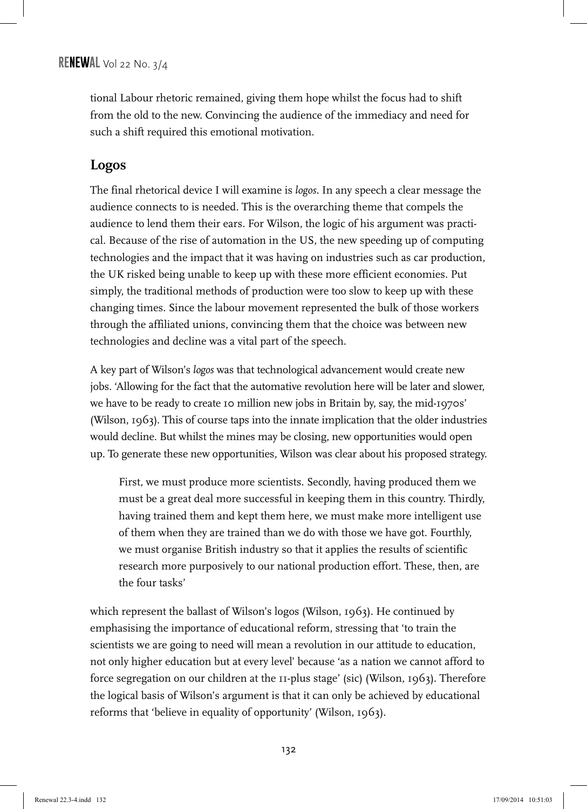tional Labour rhetoric remained, giving them hope whilst the focus had to shift from the old to the new. Convincing the audience of the immediacy and need for such a shift required this emotional motivation.

### **Logos**

The final rhetorical device I will examine is *logos*. In any speech a clear message the audience connects to is needed. This is the overarching theme that compels the audience to lend them their ears. For Wilson, the logic of his argument was practical. Because of the rise of automation in the US, the new speeding up of computing technologies and the impact that it was having on industries such as car production, the UK risked being unable to keep up with these more efficient economies. Put simply, the traditional methods of production were too slow to keep up with these changing times. Since the labour movement represented the bulk of those workers through the affiliated unions, convincing them that the choice was between new technologies and decline was a vital part of the speech.

A key part of Wilson's *logos* was that technological advancement would create new jobs. 'Allowing for the fact that the automative revolution here will be later and slower, we have to be ready to create 10 million new jobs in Britain by, say, the mid-1970s' (Wilson, 1963). This of course taps into the innate implication that the older industries would decline. But whilst the mines may be closing, new opportunities would open up. To generate these new opportunities, Wilson was clear about his proposed strategy.

First, we must produce more scientists. Secondly, having produced them we must be a great deal more successful in keeping them in this country. Thirdly, having trained them and kept them here, we must make more intelligent use of them when they are trained than we do with those we have got. Fourthly, we must organise British industry so that it applies the results of scientific research more purposively to our national production effort. These, then, are the four tasks'

which represent the ballast of Wilson's logos (Wilson, 1963). He continued by emphasising the importance of educational reform, stressing that 'to train the scientists we are going to need will mean a revolution in our attitude to education, not only higher education but at every level' because 'as a nation we cannot afford to force segregation on our children at the 11-plus stage' (sic) (Wilson, 1963). Therefore the logical basis of Wilson's argument is that it can only be achieved by educational reforms that 'believe in equality of opportunity' (Wilson, 1963).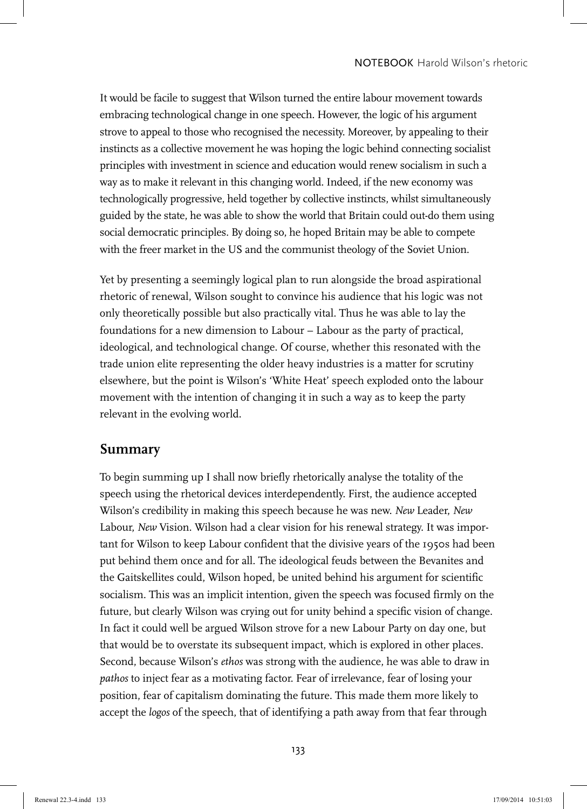It would be facile to suggest that Wilson turned the entire labour movement towards embracing technological change in one speech. However, the logic of his argument strove to appeal to those who recognised the necessity. Moreover, by appealing to their instincts as a collective movement he was hoping the logic behind connecting socialist principles with investment in science and education would renew socialism in such a way as to make it relevant in this changing world. Indeed, if the new economy was technologically progressive, held together by collective instincts, whilst simultaneously guided by the state, he was able to show the world that Britain could out-do them using social democratic principles. By doing so, he hoped Britain may be able to compete with the freer market in the US and the communist theology of the Soviet Union.

Yet by presenting a seemingly logical plan to run alongside the broad aspirational rhetoric of renewal, Wilson sought to convince his audience that his logic was not only theoretically possible but also practically vital. Thus he was able to lay the foundations for a new dimension to Labour – Labour as the party of practical, ideological, and technological change. Of course, whether this resonated with the trade union elite representing the older heavy industries is a matter for scrutiny elsewhere, but the point is Wilson's 'White Heat' speech exploded onto the labour movement with the intention of changing it in such a way as to keep the party relevant in the evolving world.

#### **Summary**

To begin summing up I shall now briefly rhetorically analyse the totality of the speech using the rhetorical devices interdependently. First, the audience accepted Wilson's credibility in making this speech because he was new. *New* Leader, *New* Labour, *New* Vision. Wilson had a clear vision for his renewal strategy. It was important for Wilson to keep Labour confident that the divisive years of the 1950s had been put behind them once and for all. The ideological feuds between the Bevanites and the Gaitskellites could, Wilson hoped, be united behind his argument for scientific socialism. This was an implicit intention, given the speech was focused firmly on the future, but clearly Wilson was crying out for unity behind a specific vision of change. In fact it could well be argued Wilson strove for a new Labour Party on day one, but that would be to overstate its subsequent impact, which is explored in other places. Second, because Wilson's *ethos* was strong with the audience, he was able to draw in *pathos* to inject fear as a motivating factor. Fear of irrelevance, fear of losing your position, fear of capitalism dominating the future. This made them more likely to accept the *logos* of the speech, that of identifying a path away from that fear through